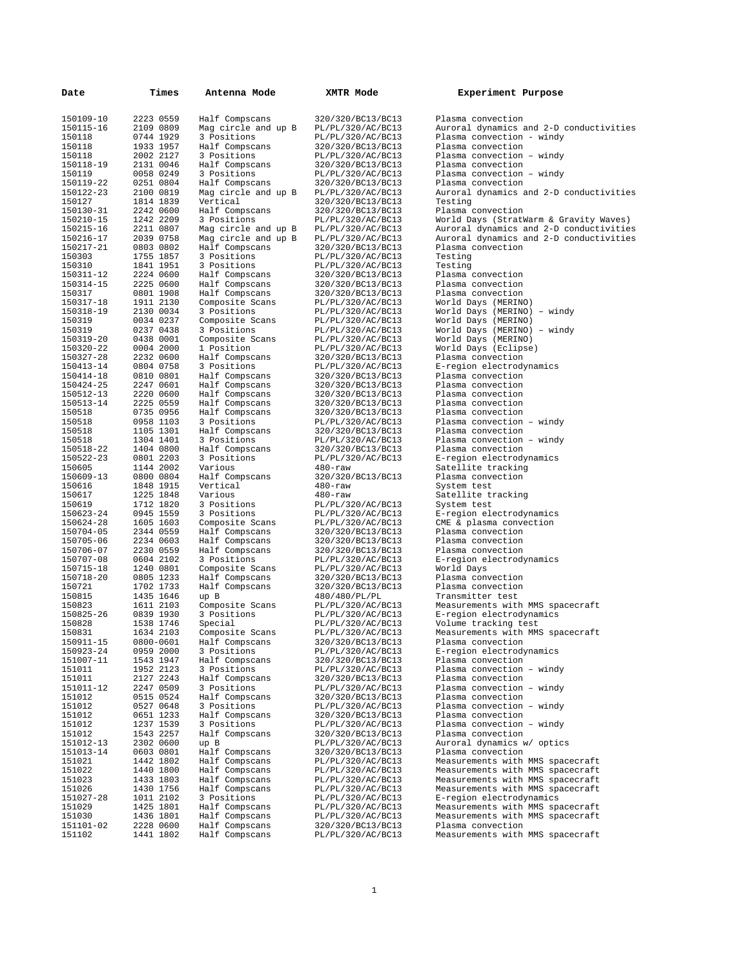| Date                   | Times                  | Antenna Mode                      | XMTR Mode                              | Experiment Purpose                                    |
|------------------------|------------------------|-----------------------------------|----------------------------------------|-------------------------------------------------------|
| 150109-10              | 2223 0559              | Half Compscans                    | 320/320/BC13/BC13                      | Plasma convection                                     |
| 150115-16              | 2109 0809              | Mag circle and up B               | PL/PL/320/AC/BC13                      | Auroral dynamics and 2-D conductivities               |
| 150118                 | 0744 1929              | 3 Positions                       | PL/PL/320/AC/BC13                      | Plasma convection - windy                             |
| 150118                 | 1933 1957              | Half Compscans                    | 320/320/BC13/BC13                      | Plasma convection                                     |
| 150118                 | 2002 2127              | 3 Positions                       | PL/PL/320/AC/BC13                      | Plasma convection - windy                             |
| 150118-19              | 2131 0046              | Half Compscans                    | 320/320/BC13/BC13                      | Plasma convection                                     |
| 150119                 | 0058 0249              | 3 Positions                       | PL/PL/320/AC/BC13                      | Plasma convection - windy                             |
| 150119-22              | 0251 0804              | Half Compscans                    | 320/320/BC13/BC13                      | Plasma convection                                     |
| 150122-23<br>150127    | 2100 0819<br>1814 1839 | Mag circle and up B<br>Vertical   | PL/PL/320/AC/BC13                      | Auroral dynamics and 2-D conductivities<br>Testing    |
| 150130-31              | 2242 0600              | Half Compscans                    | 320/320/BC13/BC13<br>320/320/BC13/BC13 | Plasma convection                                     |
| 150210-15              | 1242 2209              | 3 Positions                       | PL/PL/320/AC/BC13                      | World Days (StratWarm & Gravity Waves)                |
| 150215-16              | 2211 0807              | Mag circle and up B               | PL/PL/320/AC/BC13                      | Auroral dynamics and 2-D conductivities               |
| 150216-17              | 2039 0758              | Mag circle and up B               | PL/PL/320/AC/BC13                      | Auroral dynamics and 2-D conductivities               |
| 150217-21              | 0803 0802              | Half Compscans                    | 320/320/BC13/BC13                      | Plasma convection                                     |
| 150303                 | 1755 1857              | 3 Positions                       | PL/PL/320/AC/BC13                      | Testing                                               |
| 150310                 | 1841 1951              | 3 Positions                       | PL/PL/320/AC/BC13                      | Testing                                               |
| 150311-12              | 2224 0600              | Half Compscans                    | 320/320/BC13/BC13                      | Plasma convection                                     |
| 150314-15              | 2225 0600              | Half Compscans                    | 320/320/BC13/BC13                      | Plasma convection                                     |
| 150317<br>150317-18    | 0801 1908<br>1911 2130 | Half Compscans<br>Composite Scans | 320/320/BC13/BC13<br>PL/PL/320/AC/BC13 | Plasma convection<br>World Days (MERINO)              |
| 150318-19              | 2130 0034              | 3 Positions                       | PL/PL/320/AC/BC13                      | World Days (MERINO) - windy                           |
| 150319                 | 0034 0237              | Composite Scans                   | PL/PL/320/AC/BC13                      | World Days (MERINO)                                   |
| 150319                 | 0237 0438              | 3 Positions                       | PL/PL/320/AC/BC13                      | World Days (MERINO) - windy                           |
| 150319-20              | 0438 0001              | Composite Scans                   | PL/PL/320/AC/BC13                      | World Days (MERINO)                                   |
| 150320-22              | 0004 2000              | 1 Position                        | PL/PL/320/AC/BC13                      | World Days (Eclipse)                                  |
| 150327-28              | 2232 0600              | Half Compscans                    | 320/320/BC13/BC13                      | Plasma convection                                     |
| 150413-14              | 0804 0758              | 3 Positions                       | PL/PL/320/AC/BC13                      | E-region electrodynamics                              |
| 150414-18              | 0810 0801              | Half Compscans                    | 320/320/BC13/BC13                      | Plasma convection                                     |
| 150424-25<br>150512-13 | 2247 0601<br>2220 0600 | Half Compscans                    | 320/320/BC13/BC13                      | Plasma convection<br>Plasma convection                |
| 150513-14              | 2225 0559              | Half Compscans<br>Half Compscans  | 320/320/BC13/BC13<br>320/320/BC13/BC13 | Plasma convection                                     |
| 150518                 | 0735 0956              | Half Compscans                    | 320/320/BC13/BC13                      | Plasma convection                                     |
| 150518                 | 0958 1103              | 3 Positions                       | PL/PL/320/AC/BC13                      | Plasma convection - windy                             |
| 150518                 | 1105 1301              | Half Compscans                    | 320/320/BC13/BC13                      | Plasma convection                                     |
| 150518                 | 1304 1401              | 3 Positions                       | PL/PL/320/AC/BC13                      | Plasma convection - windy                             |
| 150518-22              | 1404 0800              | Half Compscans                    | 320/320/BC13/BC13                      | Plasma convection                                     |
| 150522-23              | 0801 2203              | 3 Positions                       | PL/PL/320/AC/BC13                      | E-region electrodynamics                              |
| 150605                 | 1144 2002              | Various                           | $480 - raw$                            | Satellite tracking                                    |
| 150609-13              | 0800 0804              | Half Compscans<br>Vertical        | 320/320/BC13/BC13                      | Plasma convection                                     |
| 150616<br>150617       | 1848 1915<br>1225 1848 | Various                           | $480 - raw$<br>$480 - raw$             | System test<br>Satellite tracking                     |
| 150619                 | 1712 1820              | 3 Positions                       | PL/PL/320/AC/BC13                      | System test                                           |
| 150623-24              | 0945 1559              | 3 Positions                       | PL/PL/320/AC/BC13                      | E-region electrodynamics                              |
| 150624-28              | 1605 1603              | Composite Scans                   | PL/PL/320/AC/BC13                      | CME & plasma convection                               |
| 150704-05              | 2344 0559              | Half Compscans                    | 320/320/BC13/BC13                      | Plasma convection                                     |
| 150705-06              | 2234 0603              | Half Compscans                    | 320/320/BC13/BC13                      | Plasma convection                                     |
| 150706-07              | 2230 0559              | Half Compscans                    | 320/320/BC13/BC13                      | Plasma convection                                     |
| 150707-08              | 0604 2102              | 3 Positions                       | PL/PL/320/AC/BC13                      | E-region electrodynamics                              |
| 150715-18<br>150718-20 | 1240 0801<br>0805 1233 | Composite Scans<br>Half Compscans | PL/PL/320/AC/BC13<br>320/320/BC13/BC13 | World Days<br>Plasma convection                       |
| 150721                 | 1702 1733              | Half Compscans                    | 320/320/BC13/BC13                      | Plasma convection                                     |
| 150815                 | 1435 1646              | up B                              | 480/480/PL/PL                          | Transmitter test                                      |
| 150823                 | 1611 2103              | Composite Scans                   | PL/PL/320/AC/BC13                      | Measurements with MMS spacecraft                      |
| 150825-26              | 0839 1930              | 3 Positions                       | PL/PL/320/AC/BC13                      | E-region electrodynamics                              |
| 150828                 | 1538 1746              | Special                           | PL/PL/320/AC/BC13                      | Volume tracking test                                  |
| 150831                 | 1634 2103              | Composite Scans                   | PL/PL/320/AC/BC13                      | Measurements with MMS spacecraft                      |
| 150911-15              | 0800-0601              | Half Compscans                    | 320/320/BC13/BC13                      | Plasma convection<br>E-region electrodynamics         |
| 150923-24<br>151007-11 | 0959 2000<br>1543 1947 | 3 Positions<br>Half Compscans     | PL/PL/320/AC/BC13<br>320/320/BC13/BC13 | Plasma convection                                     |
| 151011                 | 1952 2123              | 3 Positions                       | PL/PL/320/AC/BC13                      | Plasma convection - windy                             |
| 151011                 | 2127 2243              | Half Compscans                    | 320/320/BC13/BC13                      | Plasma convection                                     |
| 151011-12              | 2247 0509              | 3 Positions                       | PL/PL/320/AC/BC13                      | Plasma convection - windy                             |
| 151012                 | 0515 0524              | Half Compscans                    | 320/320/BC13/BC13                      | Plasma convection                                     |
| 151012                 | 0527 0648              | 3 Positions                       | PL/PL/320/AC/BC13                      | Plasma convection - windy                             |
| 151012                 | 0651 1233              | Half Compscans                    | 320/320/BC13/BC13                      | Plasma convection                                     |
| 151012                 | 1237 1539              | 3 Positions                       | PL/PL/320/AC/BC13                      | Plasma convection - windy                             |
| 151012<br>151012-13    | 1543 2257<br>2302 0600 | Half Compscans<br>up B            | 320/320/BC13/BC13                      | Plasma convection<br>Auroral dynamics w/ optics       |
| 151013-14              | 0603 0801              | Half Compscans                    | PL/PL/320/AC/BC13<br>320/320/BC13/BC13 | Plasma convection                                     |
| 151021                 | 1442 1802              | Half Compscans                    | PL/PL/320/AC/BC13                      | Measurements with MMS spacecraft                      |
| 151022                 | 1440 1800              | Half Compscans                    | PL/PL/320/AC/BC13                      | Measurements with MMS spacecraft                      |
| 151023                 | 1433 1803              | Half Compscans                    | PL/PL/320/AC/BC13                      | Measurements with MMS spacecraft                      |
| 151026                 | 1430 1756              | Half Compscans                    | PL/PL/320/AC/BC13                      | Measurements with MMS spacecraft                      |
| 151027-28              | 1011 2102              | 3 Positions                       | PL/PL/320/AC/BC13                      | E-region electrodynamics                              |
| 151029                 | 1425 1801              | Half Compscans                    | PL/PL/320/AC/BC13                      | Measurements with MMS spacecraft                      |
| 151030                 | 1436 1801              | Half Compscans                    | PL/PL/320/AC/BC13                      | Measurements with MMS spacecraft                      |
| 151101-02<br>151102    | 2228 0600<br>1441 1802 | Half Compscans<br>Half Compscans  | 320/320/BC13/BC13<br>PL/PL/320/AC/BC13 | Plasma convection<br>Measurements with MMS spacecraft |
|                        |                        |                                   |                                        |                                                       |